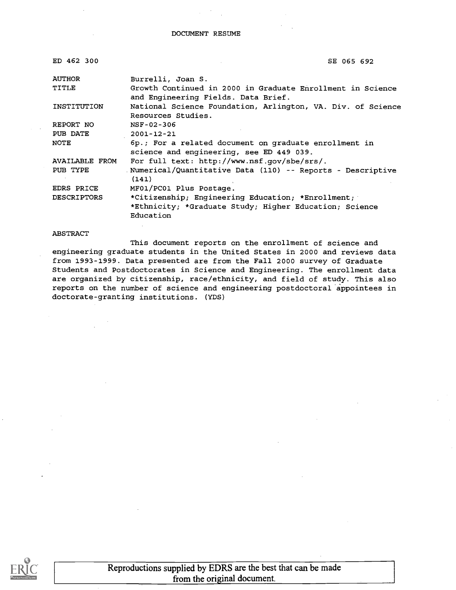| ED 462 300         | SE 065 692                                                                                        |
|--------------------|---------------------------------------------------------------------------------------------------|
| <b>AUTHOR</b>      | Burrelli, Joan S.                                                                                 |
| TITLE              | Growth Continued in 2000 in Graduate Enrollment in Science<br>and Engineering Fields. Data Brief. |
| INSTITUTION        | National Science Foundation, Arlington, VA. Div. of Science<br>Resources Studies.                 |
| REPORT NO          | NSF-02-306                                                                                        |
| PUB DATE           | $2001 - 12 - 21$                                                                                  |
| NOTE               | 6p.; For a related document on graduate enrollment in<br>science and engineering, see ED 449 039. |
| AVAILABLE FROM     | For full text: http://www.nsf.qov/sbe/srs/.                                                       |
| PUB TYPE           | Numerical/Quantitative Data (110) -- Reports - Descriptive<br>(141)                               |
| EDRS PRICE         | MF01/PC01 Plus Postage.                                                                           |
| <b>DESCRIPTORS</b> | *Citizenship; Engineering Education; *Enrollment;                                                 |
|                    | *Ethnicity; *Graduate Study; Higher Education; Science<br>Education                               |

#### ABSTRACT

This document reports on the enrollment of science and engineering graduate students in the United States in 2000 and reviews data from 1993-1999. Data presented are from the Fall 2000 survey of Graduate Students and Postdoctorates in Science and Engineering. The enrollment data are organized by citizenship, race/ethnicity, and field of study. This also reports on the number of science and engineering postdoctoral appointees in doctorate-granting institutions. (YDS)



Reproductions supplied by EDRS are the best that can be made from the original document.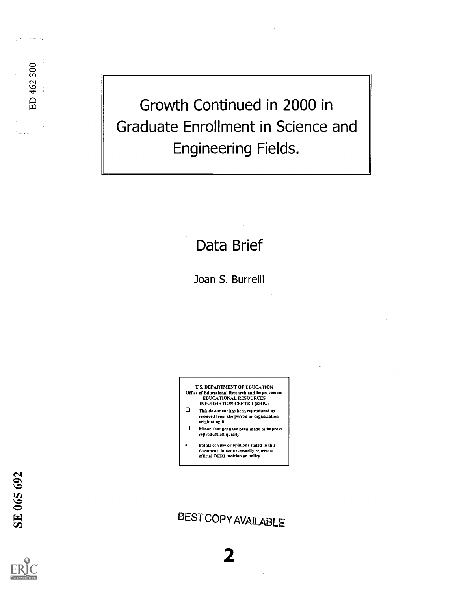Growth Continued in 2000 in Graduate Enrollment in Science and Engineering Fields.

## Data Brief

Joan S. Burrelli

U.S. DEPARTMENT OF EDUCATION Office of Educational Research and Improvement EDUCATIONAL RESOURCES INFORMATION CENTER (ERIC)

- 0 This document has been reproduced as received from the person or organization originating it.
- 0 Minor changes have been made to improve reproduction quality.
- Points of view or opinions stated in this document do not necessarily represent official OERI position or policy.

**BEST COPY AVAILABLE** 

2

ED 462 300

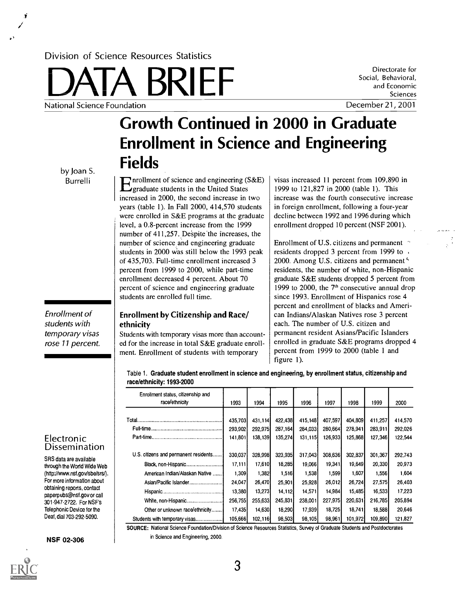### Division of Science Resources Statistics

ERRET Social, Behavioral,<br>
and Economic<br>
December 21, 2001 National Science Foundation

Directorate for Social, Behavioral, and Economic Sciences

# Growth Continued in 2000 in Graduate Enrollment in Science and Engineering Fields

by Joan S. Burrelli

students with

Enrollment of temporary visas rose 11 percent.

## Enrollment by Citizenship and Race/ ethnicity

students are enrolled full time.

Students with temporary visas more than accounted for the increase in total S&E graduate enrollment. Enrollment of students with temporary

 $\Gamma$  nrollment of science and engineering (S&E)

increased in 2000, the second increase in two years (table 1). In Fall 2000, 414,570 students were enrolled in S&E programs at the graduate level, a 0.8-percent increase from the 1999 number of 411,257. Despite the increases, the number of science and engineering graduate students in 2000 Was still below the 1993 peak of 435,703. Full-time enrollment increased 3 percent from 1999 to 2000, while part-time enrollment decreased 4 percent. About 70 percent of science and engineering graduate

**Exercise** Follment of science and engineering (S&E) graduate students in the United States visas increased 11 percent from 109,890 in 1999 to 121,827 in 2000 (table 1). This increase was the fourth consecutive increase in foreign enrollment, following a four-year decline between 1992 and 1996 during which enrollment dropped 10 percent (NSF 2001).

> Enrollment of U.S. citizens and permanent  $\gamma$ residents dropped 3 percent from 1999 to 2000. Among U.S. citizens and permanent<sup>5</sup> residents, the number of white, non-Hispanic graduate S&E students dropped 5 percent from 1999 to 2000, the  $7<sup>th</sup>$  consecutive annual drop since 1993. Enrollment of Hispanics rose 4 percent and enrollment of blacks and American Indians/Alaskan Natives rose 3 percent each. The number of U.S. citizen and permanent resident Asians/Pacific Islanders enrolled in graduate S&E programs dropped 4 percent from 1999 to 2000 (table 1 and figure 1).

Table 1. Graduate student enrollment in science and engineering, by enrollment status, citizenship and race/ethnicity: 1993-2000

| Enrollment status, citizenship and<br>race/ethnicity | 1993    | 1994    | 1995    | 1996    | 1997    | 1998    | 1999    | 2000    |
|------------------------------------------------------|---------|---------|---------|---------|---------|---------|---------|---------|
|                                                      |         |         |         |         |         |         |         |         |
|                                                      | 435,703 | 431.114 | 422,438 | 415,148 | 407,597 | 404.809 | 411,257 | 414,570 |
|                                                      | 293,902 | 292,975 | 287.164 | 284,033 | 280,664 | 278,941 | 283,911 | 292.026 |
|                                                      | 141,801 | 138.139 | 135.274 | 131,115 | 126.933 | 125.868 | 127.346 | 122.544 |
|                                                      |         |         |         |         |         |         |         |         |
| U.S. citizens and permanent residents                | 330,037 | 328,998 | 323.935 | 317,043 | 308.636 | 302.837 | 301,367 | 292,743 |
|                                                      | 17,111  | 17,610  | 18.285  | 19.066  | 19.341  | 19.649  | 20,330  | 20,973  |
| American Indian/Alaskan Native                       | 1,309   | 1,382   | 1,516   | 1,538   | 1.599   | 1,607   | 1.556   | 1,604   |
| Asian/Pacific Islander                               | 24,047  | 26,470  | 25,901  | 25,928  | 26,012  | 26.724  | 27,575  | 26,403  |
|                                                      | 13,380  | 13,273  | 14,112  | 14,571  | 14.984  | 15.485  | 16,533  | 17,223  |
| White, non-Hispanic                                  | 256,755 | 255,633 | 245,831 | 238,001 | 227,975 | 220.631 | 216,785 | 205,894 |
| Other or unknown race/ethnicity                      | 17,435  | 14,630  | 18,290  | 17,939  | 18.725  | 18.7411 | 18,588  | 20,646  |
| Students with temporary visas                        | 105,666 | 102,116 | 98,503  | 98,105  | 98,961  | 101,972 | 109,890 | 121,827 |

SOURCE: National Science Foundation/Division of Science Resources Statistics, Survey of Graduate Students and Postdoctorates in Science and Engineering, 2000.



SRS data are available through the World Wide Web (http://www.nsf.govlsbe/srs/). For more information about obtaining reports, contact paperpubs@nsf.gov or call 301-947-2722. For NSF's Telephonic Device for the Deaf, dial 703-292-5090.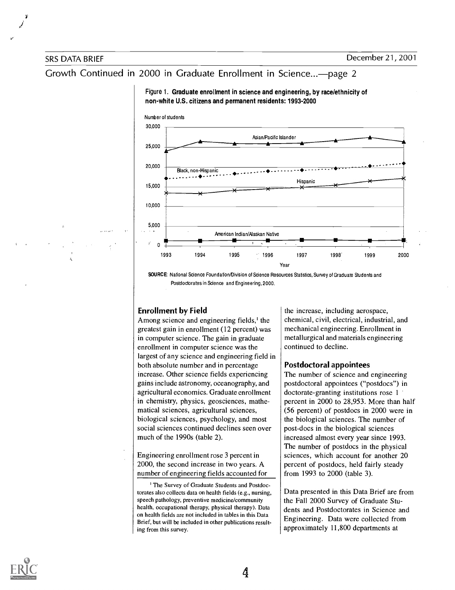### Growth Continued in 2000 in Graduate Enrollment in Science...- page 2





SOURCE: National Science Foundation/Division of Science Resources Statistics, Survey of Graduate Students and Postdoctorates in Science and Engineering, 2000.

### Enrollment by Field

Among science and engineering fields,' the greatest gain in enrollment (12 percent) was in computer science. The gain in graduate enrollment in computer science was the largest of any science and engineering field in both absolute number and in percentage increase. Other science fields experiencing gains include astronomy, oceanography, and agricultural economics. Graduate enrollment in chemistry, physics, geosciences, mathematical sciences, agricultural sciences, biological sciences, psychology, and most social sciences continued declines seen over much of the 1990s (table 2).

Engineering enrollment rose 3 percent in 2000, the second increase in two years. A number of engineering fields accounted for

' The Survey of Graduate Students and Postdoctorates also collects data on health fields (e.g., nursing, speech pathology, preventive medicine/community health, occupational therapy, physical therapy). Data on health fields are not included in tables in this Data Brief, but will be included in other publications resulting from this survey.

the increase, including aerospace, chemical, civil, electrical, industrial, and mechanical engineering. Enrollment in metallurgical and materials engineering continued to decline.

#### Postdoctoral appointees

The number of science and engineering postdoctoral appointees ("postdocs") in doctorate-granting institutions rose 1 percent in 2000 to 28,953. More than half (56 percent) of postdocs in 2000 were in the biological sciences. The number of post-docs in the biological sciences increased almost every year since 1993. The number of postdocs in the physical sciences, which account for another 20 percent of postdocs, held fairly steady from 1993 to 2000 (table 3).

Data presented in this Data Brief are from the Fall 2000 Survey of Graduate Students and Postdoctorates in Science and Engineering. Data were collected from approximately 11,800 departments at

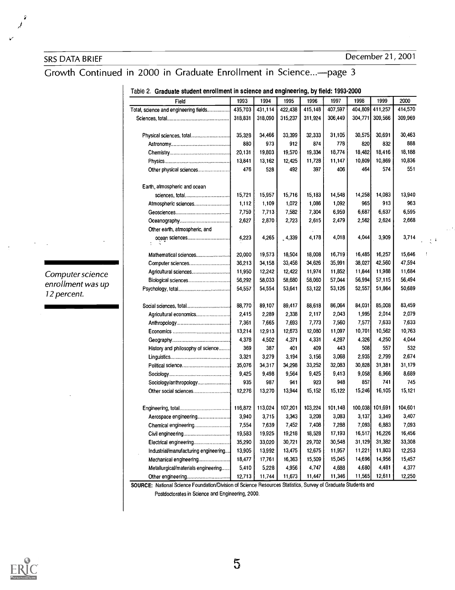Computer science enrollment was up

12 percent.

SRS DATA BRIEF DECEMBER 21, 2001

## Growth Continued in 2000 in Graduate Enrollment in Science...-- page 3

| Field                                 | 1993    | 1994    | 1995     | 1996    | 1997    | 1998    | 1999            | 2000    |   |
|---------------------------------------|---------|---------|----------|---------|---------|---------|-----------------|---------|---|
| Total, science and engineering fields | 435,703 | 431 114 | 422 438  | 415,148 | 407,597 | 404,809 | 411,257         | 414,570 |   |
|                                       | 318,831 | 318,090 | 315 237  | 311 924 | 306,449 | 304,771 | 309,566         | 309,969 |   |
|                                       |         |         |          |         |         |         |                 |         |   |
|                                       | 35,328  | 34,466  | 33,399   | 32,333  | 31,105  | 30,575  | 30,691          | 30,463  |   |
|                                       | 880     | 973     | 912      | 874     | 778     | 820     | 832             | 888     |   |
|                                       | 20,131  | 19,803  | 19,570   | 19,334  | 18,774  | 18,482  | 18,416          | 18,188  |   |
|                                       | 13,841  | 13,162  | 12,425   | 11,728  | 11,147  | 10,809  | 10,869          | 10,836  |   |
| Other physical sciences               | 476     | 528     | 492      | 397     | 406     | 464     | 574             | 551     |   |
| Earth, atmospheric and ocean          |         |         |          |         |         |         |                 |         |   |
| sciences, total                       | 15,721  | 15,957  | 15,716   | 15,183  | 14,548  | 14,258  | 14,083          | 13,940  |   |
| Atmospheric sciences                  | 1,112   | 1,109   | 1,072    | 1,086   | 1,092   | 965     | 913             | 963     |   |
|                                       | 7,759   | 7,713   | 7,582    | 7,304   | 6,959   | 6,687   | 6,637           | 6,595   |   |
|                                       | 2,627   | 2,870   | 2,723    | 2,615   | 2,479   | 2,562   | 2,624           | 2,668   |   |
| Other earth, atmospheric, and         |         |         |          |         |         |         |                 |         |   |
| ocean sciences                        | 4,223   | 4,265   | $-4,339$ | 4,178   | 4,018   | 4,044   | 3,909           | 3,714   |   |
|                                       |         |         |          |         |         |         |                 |         |   |
| Mathematical sciences                 | 20,000  | 19,573  | 18,504   | 18,008  | 16,719  | 16,485  | 16,257          | 15,646  | ţ |
| Computer sciences                     | 36,213  | 34,158  | 33,458   | 34,626  | 35,991  | 38,027  | 42,560          | 47 594  |   |
| Agricultural sciences                 | 11,950  | 12,242  | 12,422   | 11,974  | 11,852  | 11,844  | 11,988          | 11,684  |   |
| Biological sciences                   | 56,292  | 58,033  | 58,680   | 58,060  | 57,044  | 56,994  | 57,115          | 56,494  |   |
|                                       | 54,557  | 54,554  | 53,641   | 53,122  | 53,126  | 52,557  | 51.864          | 50.689  |   |
|                                       | 88,770  | 89,107  | 89,417   | 88,618  | 86,064  | 84,031  | 85,008          | 83,459  |   |
| Agricultural economics                | 2,415   | 2,289   | 2,338    | 2,117   | 2.043   | 1,995   | 2.014           | 2.079   |   |
|                                       | 7,361   | 7,665   | 7,693    | 7,773   | 7,560   | 7,577   | 7,633           | 7,633   |   |
|                                       | 13.214  | 12,913  | 12,673   | 12,080  | 11,097  | 10,701  | 10.562          | 10763   |   |
|                                       | 4,378   | 4,502   | 4,371    | 4,331   | 4,287   | 4,326   | 4.250           | 4.044   |   |
| History and philosophy of science     | 369     | 387     | 401      | 409     | 443     | 508     | 557             | 532     |   |
|                                       | 3.321   | 3,279   | 3,194    | 3,156   | 3.068   | 2,935   | 2.799           | 2,674   |   |
|                                       | 35,076  | 34,317  | 34,298   | 33,252  | 32,083  | 30,828  | 31,381          | 31,179  |   |
|                                       | 9,425   | 9,498   | 9,564    | 9,425   | 9,413   | 9,058   | 8,966           | 8,689   |   |
| Sociology/anthropology                | 935     | 987     | 941      | 923     | 948     | 857     | 741             | 745     |   |
| Other social sciences                 | 12,276  | 13,270  | 13,944   | 15,152  | 15,122  | 15,246  | 16,105          | 15,121  |   |
|                                       | 116,872 | 113,024 | 107,201  | 103,224 | 101,148 |         | 100,038 101,691 | 104,601 |   |
| Aerospace engineering                 | 3,940   | 3,715   | 3,343    | 3,208   | 3,083   | 3,137   | 3,349           | 3,407   |   |
| Chemical engineering                  | 7,554   | 7,639   | 7,452    | 7,408   | 7,288   | 7,093   | 6,883           | 7.093   |   |
|                                       | 19,583  | 19,925  | 19,218   | 18,528  | 17,193  | 16,517  | 16,226          | 16,456  |   |
| Electrical engineering                | 35,290  | 33,020  | 30,721   | 29,702  | 30,548  | 31,129  | 31,382          | 33,308  |   |
| Industrial/manufacturing engineering  | 13,905  | 13,992  | 13,475   | 12,675  | 11,957  | 11,221  | 11,803          | 12,253  |   |
| Mechanical engineering                | 18,477  | 17,761  | 16,363   | 15,509  | 15,045  | 14,696  | 14,956          | 15,457  |   |
| Metallurgical/materials engineering   | 5,410   | 5,228   | 4,956    | 4,747   | 4,688   | 4,680   | 4,481           | 4.377   |   |
| Other engineering                     | 12,713  | 11,744  | 11,673   | 11,447  | 11,346  | 11,565  | 12,611          | 12,250  |   |

### Table 2. Graduate student enrollment in science and engineering, by field: 1993-2000

SOURCE: National Science Foundation/Division of Science Resources Statistics, Survey of Graduate Students and Postdoctorates in Science and Engineering, 2000.

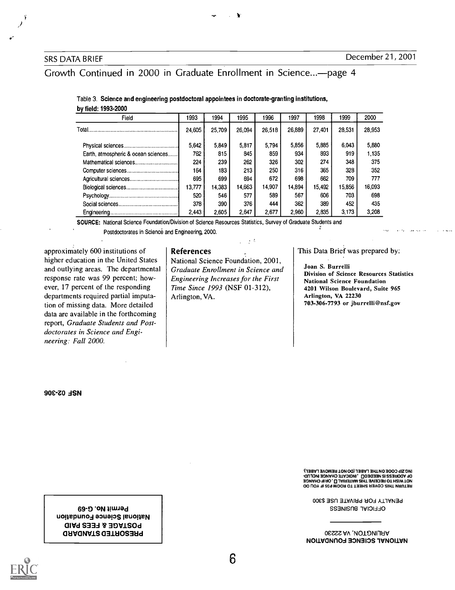Growth Continued in 2000 in Graduate Enrollment in Science...- page 4

Table 3. Science and engineering postdoctoral appointees in doctorate-granting institutions, by field: 1993-2000

| Field                               | 1993   | 1994   | 1995   | 1996   | 1997   | 1998   | 1999   | 2000   |
|-------------------------------------|--------|--------|--------|--------|--------|--------|--------|--------|
|                                     | 24,605 | 25,709 | 26,094 | 26,518 | 26,889 | 27,401 | 28.531 | 28,953 |
|                                     | 5,642  | 5.849  | 5.817  | 5.794  | 5,856  | 5,885  | 6.043  | 5,880  |
| Earth, atmospheric & ocean sciences | 762    | 815    | 845    | 859    | 934    | 893    | 919    | 1.135  |
|                                     | 224    | 239    | 262    | 326    | 302    | 274    | 348    | 375    |
|                                     | 164    | 183    | 213    | 250    | 316    | 365    | 328    | 352    |
|                                     | 695    | 699    | 694    | 672    | 698    | 662    | 709    | 777    |
|                                     | 13,777 | 14.383 | 14.663 | 14.907 | 14.894 | 15,492 | 15.856 | 16.093 |
|                                     | 520    | 546    | 577    | 589    | 567    | 606    | 703    | 698    |
|                                     | 378    | 390    | 376    | 444    | 362    | 389    | 452    | 435    |
|                                     | 2.443  | 2.605  | 2.647  | 2.677  | 2.960  | 2.835  | 3.173  | 3.208  |

SOURCE: National Science Foundation/Division of Science Resources Statistics, Survey of Graduate Students and

Postdoctorates in Science and Engineering, 2000.

approximately 600 institutions of higher education in the United States and outlying areas. The departmental response rate was 99 percent; however, 17 percent of the responding departments required partial imputation of missing data. More detailed data are available in the forthcoming report, Graduate Students and Postdoctorates in Science and Engineering: Fall 2000.

> Permit No. G-69 National Science Foundation **DOSTAGE & FEES PAID** 0EIVONV1S a311:10S3Eld

References

National Science Foundation, 2001, Graduate Enrollment in Science and Engineering Increases for the First Time Since 1993 (NSF 01-312), Arlington, VA.

 $\chi$   $\bar{\chi}$ 

This Data Brief was prepared by:

Joan S. Burrelli Division of Science Resources Statistics National Science Foundation 4201 Wilson Boulevard, Suite 965 Arlington, VA 22230 703-306-7793 or jburrelli@nsf.gov

90C-ZO dSN

ING SIb COOE ON LHE FVBEF (DO NO 1 HEWOAE FVBEF) OO UOY 31 829 MOOR OT T33H2 R3Y00 2INT *VR*IJT3R<br>30MAHO 31 RO , **0. JANR3TAM SIM TON SOOR OT H**2IW TON<br>-0UJQM 30MAHO 3TAOIOM , 003033M 21 223ROOA 30

PENALTY FOR PRIVATE USE \$300 SS3NISNB 1VIOLLO

ARLINGTON, VA 22230 NOUND SCIENCE FOUNDATION